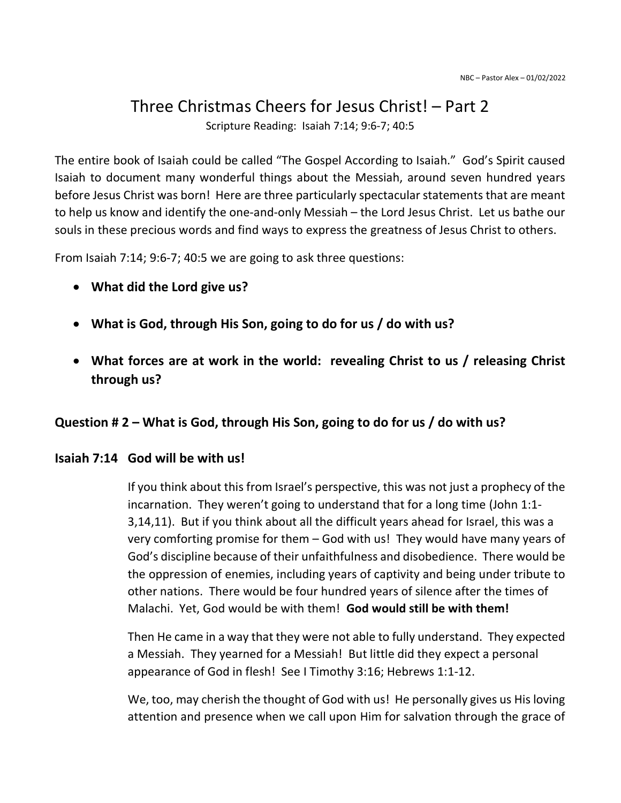# Three Christmas Cheers for Jesus Christ! – Part 2

Scripture Reading: Isaiah 7:14; 9:6-7; 40:5

The entire book of Isaiah could be called "The Gospel According to Isaiah." God's Spirit caused Isaiah to document many wonderful things about the Messiah, around seven hundred years before Jesus Christ was born! Here are three particularly spectacular statements that are meant to help us know and identify the one-and-only Messiah – the Lord Jesus Christ. Let us bathe our souls in these precious words and find ways to express the greatness of Jesus Christ to others.

From Isaiah 7:14; 9:6-7; 40:5 we are going to ask three questions:

- What did the Lord give us?
- What is God, through His Son, going to do for us / do with us?
- What forces are at work in the world: revealing Christ to us / releasing Christ through us?

# Question # 2 – What is God, through His Son, going to do for us / do with us?

### Isaiah 7:14 God will be with us!

 If you think about this from Israel's perspective, this was not just a prophecy of the incarnation. They weren't going to understand that for a long time (John 1:1- 3,14,11). But if you think about all the difficult years ahead for Israel, this was a very comforting promise for them – God with us! They would have many years of God's discipline because of their unfaithfulness and disobedience. There would be the oppression of enemies, including years of captivity and being under tribute to other nations. There would be four hundred years of silence after the times of Malachi. Yet, God would be with them! God would still be with them!

 Then He came in a way that they were not able to fully understand. They expected a Messiah. They yearned for a Messiah! But little did they expect a personal appearance of God in flesh! See I Timothy 3:16; Hebrews 1:1-12.

 We, too, may cherish the thought of God with us! He personally gives us His loving attention and presence when we call upon Him for salvation through the grace of